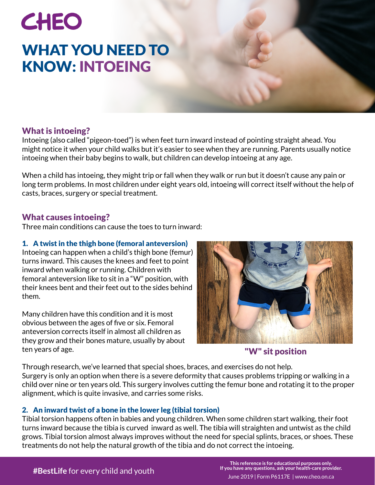## CHEO WHAT YOU NEED TO KNOW: INTOEING

#### What is intoeing?

Intoeing (also called "pigeon-toed") is when feet turn inward instead of pointing straight ahead. You might notice it when your child walks but it's easier to see when they are running. Parents usually notice intoeing when their baby begins to walk, but children can develop intoeing at any age.

When a child has intoeing, they might trip or fall when they walk or run but it doesn't cause any pain or long term problems. In most children under eight years old, intoeing will correct itself without the help of casts, braces, surgery or special treatment.

#### What causes intoeing?

Three main conditions can cause the toes to turn inward:

#### 1. A twist in the thigh bone (femoral anteversion)

Intoeing can happen when a child's thigh bone (femur) turns inward. This causes the knees and feet to point inward when walking or running. Children with femoral anteversion like to sit in a "W" position, with their knees bent and their feet out to the sides behind them.

Many children have this condition and it is most obvious between the ages of five or six. Femoral anteversion corrects itself in almost all children as they grow and their bones mature, usually by about ten years of age.



#### "W" sit position

Through research, we've learned that special shoes, braces, and exercises do not help. Surgery is only an option when there is a severe deformity that causes problems tripping or walking in a child over nine or ten years old. This surgery involves cutting the femur bone and rotating it to the proper alignment, which is quite invasive, and carries some risks.

#### 2. An inward twist of a bone in the lower leg (tibial torsion)

Tibial torsion happens often in babies and young children. When some children start walking, their foot turns inward because the tibia is curved inward as well. The tibia will straighten and untwist as the child grows. Tibial torsion almost always improves without the need for special splints, braces, or shoes. These treatments do not help the natural growth of the tibia and do not correct the intoeing.